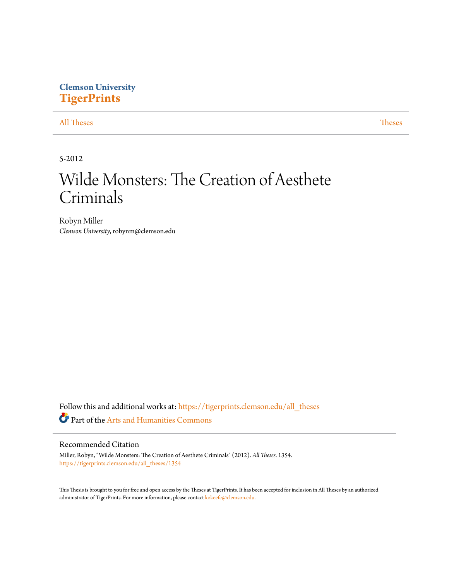# **Clemson University [TigerPrints](https://tigerprints.clemson.edu?utm_source=tigerprints.clemson.edu%2Fall_theses%2F1354&utm_medium=PDF&utm_campaign=PDFCoverPages)**

## [All Theses](https://tigerprints.clemson.edu/all_theses?utm_source=tigerprints.clemson.edu%2Fall_theses%2F1354&utm_medium=PDF&utm_campaign=PDFCoverPages) **[Theses](https://tigerprints.clemson.edu/theses?utm_source=tigerprints.clemson.edu%2Fall_theses%2F1354&utm_medium=PDF&utm_campaign=PDFCoverPages)**

5-2012

# Wilde Monsters: The Creation of Aesthete Criminals

Robyn Miller *Clemson University*, robynm@clemson.edu

Follow this and additional works at: [https://tigerprints.clemson.edu/all\\_theses](https://tigerprints.clemson.edu/all_theses?utm_source=tigerprints.clemson.edu%2Fall_theses%2F1354&utm_medium=PDF&utm_campaign=PDFCoverPages) Part of the [Arts and Humanities Commons](http://network.bepress.com/hgg/discipline/438?utm_source=tigerprints.clemson.edu%2Fall_theses%2F1354&utm_medium=PDF&utm_campaign=PDFCoverPages)

## Recommended Citation

Miller, Robyn, "Wilde Monsters: The Creation of Aesthete Criminals" (2012). *All Theses*. 1354. [https://tigerprints.clemson.edu/all\\_theses/1354](https://tigerprints.clemson.edu/all_theses/1354?utm_source=tigerprints.clemson.edu%2Fall_theses%2F1354&utm_medium=PDF&utm_campaign=PDFCoverPages)

This Thesis is brought to you for free and open access by the Theses at TigerPrints. It has been accepted for inclusion in All Theses by an authorized administrator of TigerPrints. For more information, please contact [kokeefe@clemson.edu](mailto:kokeefe@clemson.edu).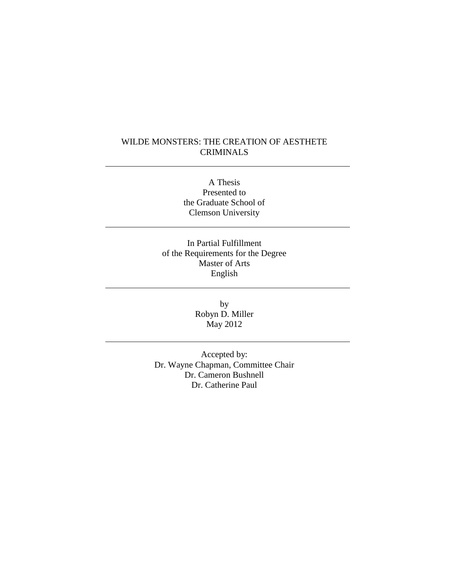## WILDE MONSTERS: THE CREATION OF AESTHETE CRIMINALS

A Thesis Presented to the Graduate School of Clemson University

In Partial Fulfillment of the Requirements for the Degree Master of Arts English

> by Robyn D. Miller May 2012

Accepted by: Dr. Wayne Chapman, Committee Chair Dr. Cameron Bushnell Dr. Catherine Paul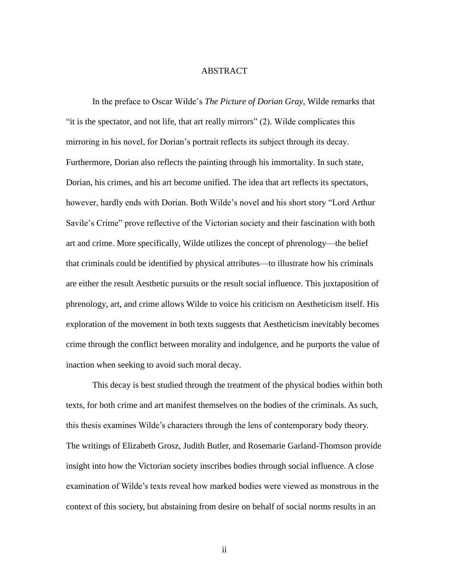### ABSTRACT

In the preface to Oscar Wilde's *The Picture of Dorian Gray*, Wilde remarks that "it is the spectator, and not life, that art really mirrors" (2). Wilde complicates this mirroring in his novel, for Dorian's portrait reflects its subject through its decay. Furthermore, Dorian also reflects the painting through his immortality. In such state, Dorian, his crimes, and his art become unified. The idea that art reflects its spectators, however, hardly ends with Dorian. Both Wilde's novel and his short story "Lord Arthur Savile's Crime" prove reflective of the Victorian society and their fascination with both art and crime. More specifically, Wilde utilizes the concept of phrenology—the belief that criminals could be identified by physical attributes—to illustrate how his criminals are either the result Aesthetic pursuits or the result social influence. This juxtaposition of phrenology, art, and crime allows Wilde to voice his criticism on Aestheticism itself. His exploration of the movement in both texts suggests that Aestheticism inevitably becomes crime through the conflict between morality and indulgence, and he purports the value of inaction when seeking to avoid such moral decay.

This decay is best studied through the treatment of the physical bodies within both texts, for both crime and art manifest themselves on the bodies of the criminals. As such, this thesis examines Wilde's characters through the lens of contemporary body theory. The writings of Elizabeth Grosz, Judith Butler, and Rosemarie Garland-Thomson provide insight into how the Victorian society inscribes bodies through social influence. A close examination of Wilde's texts reveal how marked bodies were viewed as monstrous in the context of this society, but abstaining from desire on behalf of social norms results in an

ii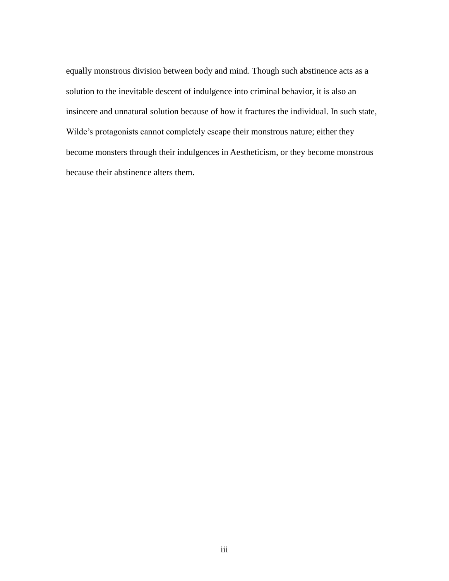equally monstrous division between body and mind. Though such abstinence acts as a solution to the inevitable descent of indulgence into criminal behavior, it is also an insincere and unnatural solution because of how it fractures the individual. In such state, Wilde's protagonists cannot completely escape their monstrous nature; either they become monsters through their indulgences in Aestheticism, or they become monstrous because their abstinence alters them.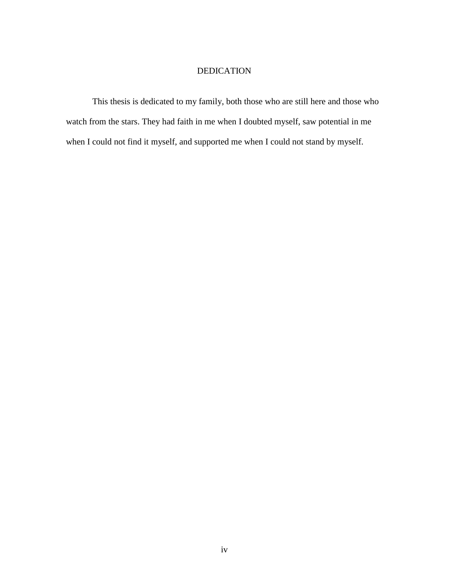## DEDICATION

This thesis is dedicated to my family, both those who are still here and those who watch from the stars. They had faith in me when I doubted myself, saw potential in me when I could not find it myself, and supported me when I could not stand by myself.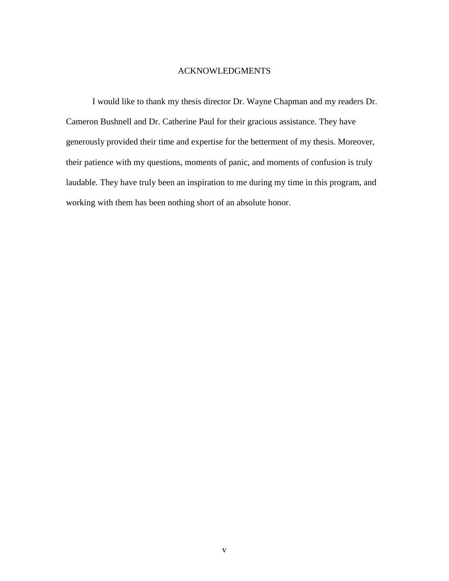## ACKNOWLEDGMENTS

I would like to thank my thesis director Dr. Wayne Chapman and my readers Dr. Cameron Bushnell and Dr. Catherine Paul for their gracious assistance. They have generously provided their time and expertise for the betterment of my thesis. Moreover, their patience with my questions, moments of panic, and moments of confusion is truly laudable. They have truly been an inspiration to me during my time in this program, and working with them has been nothing short of an absolute honor.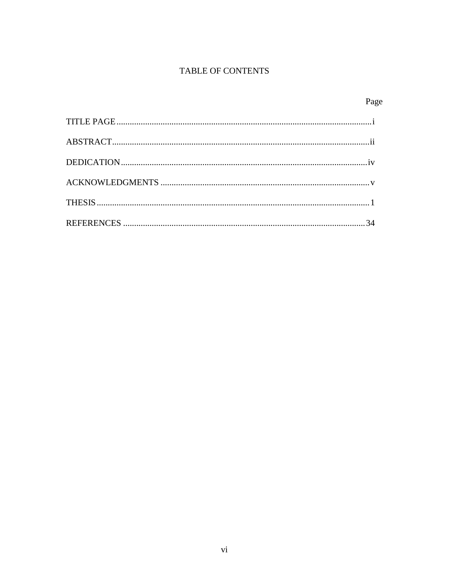# TABLE OF CONTENTS

Page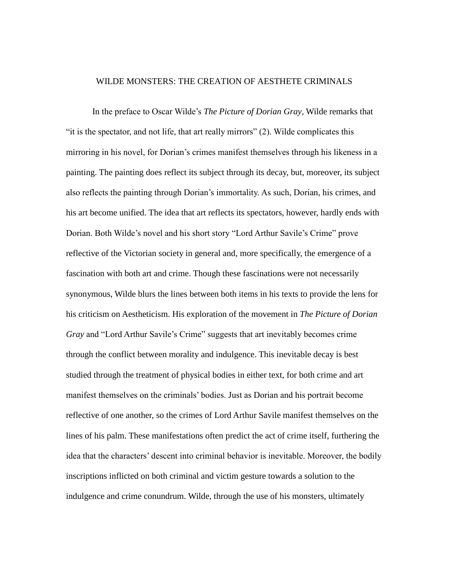## WILDE MONSTERS: THE CREATION OF AESTHETE CRIMINALS

In the preface to Oscar Wilde's *The Picture of Dorian Gray*, Wilde remarks that "it is the spectator, and not life, that art really mirrors" (2). Wilde complicates this mirroring in his novel, for Dorian's crimes manifest themselves through his likeness in a painting. The painting does reflect its subject through its decay, but, moreover, its subject also reflects the painting through Dorian's immortality. As such, Dorian, his crimes, and his art become unified. The idea that art reflects its spectators, however, hardly ends with Dorian. Both Wilde's novel and his short story "Lord Arthur Savile's Crime" prove reflective of the Victorian society in general and, more specifically, the emergence of a fascination with both art and crime. Though these fascinations were not necessarily synonymous, Wilde blurs the lines between both items in his texts to provide the lens for his criticism on Aestheticism. His exploration of the movement in *The Picture of Dorian Gray* and "Lord Arthur Savile's Crime" suggests that art inevitably becomes crime through the conflict between morality and indulgence. This inevitable decay is best studied through the treatment of physical bodies in either text, for both crime and art manifest themselves on the criminals' bodies. Just as Dorian and his portrait become reflective of one another, so the crimes of Lord Arthur Savile manifest themselves on the lines of his palm. These manifestations often predict the act of crime itself, furthering the idea that the characters' descent into criminal behavior is inevitable. Moreover, the bodily inscriptions inflicted on both criminal and victim gesture towards a solution to the indulgence and crime conundrum. Wilde, through the use of his monsters, ultimately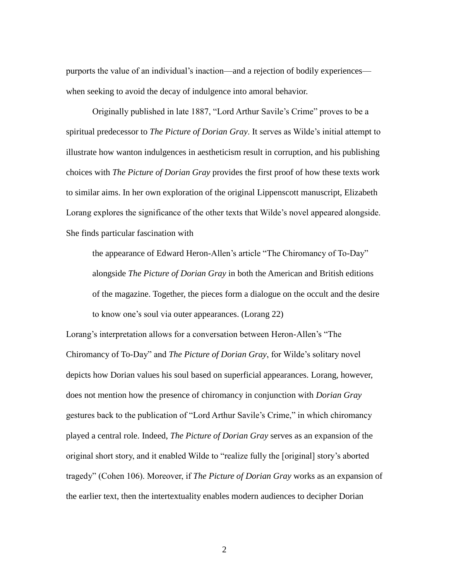purports the value of an individual's inaction—and a rejection of bodily experiences when seeking to avoid the decay of indulgence into amoral behavior.

Originally published in late 1887, "Lord Arthur Savile's Crime" proves to be a spiritual predecessor to *The Picture of Dorian Gray*. It serves as Wilde's initial attempt to illustrate how wanton indulgences in aestheticism result in corruption, and his publishing choices with *The Picture of Dorian Gray* provides the first proof of how these texts work to similar aims. In her own exploration of the original Lippenscott manuscript, Elizabeth Lorang explores the significance of the other texts that Wilde's novel appeared alongside. She finds particular fascination with

the appearance of Edward Heron-Allen's article "The Chiromancy of To-Day" alongside *The Picture of Dorian Gray* in both the American and British editions of the magazine. Together, the pieces form a dialogue on the occult and the desire to know one's soul via outer appearances. (Lorang 22)

Lorang's interpretation allows for a conversation between Heron-Allen's "The Chiromancy of To-Day" and *The Picture of Dorian Gray*, for Wilde's solitary novel depicts how Dorian values his soul based on superficial appearances. Lorang, however, does not mention how the presence of chiromancy in conjunction with *Dorian Gray* gestures back to the publication of "Lord Arthur Savile's Crime," in which chiromancy played a central role. Indeed, *The Picture of Dorian Gray* serves as an expansion of the original short story, and it enabled Wilde to "realize fully the [original] story's aborted tragedy" (Cohen 106). Moreover, if *The Picture of Dorian Gray* works as an expansion of the earlier text, then the intertextuality enables modern audiences to decipher Dorian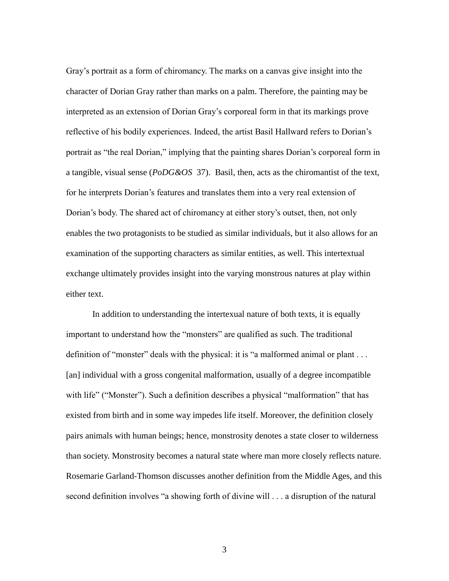Gray's portrait as a form of chiromancy. The marks on a canvas give insight into the character of Dorian Gray rather than marks on a palm. Therefore, the painting may be interpreted as an extension of Dorian Gray's corporeal form in that its markings prove reflective of his bodily experiences. Indeed, the artist Basil Hallward refers to Dorian's portrait as "the real Dorian," implying that the painting shares Dorian's corporeal form in a tangible, visual sense (*PoDG&OS* 37). Basil, then, acts as the chiromantist of the text, for he interprets Dorian's features and translates them into a very real extension of Dorian's body. The shared act of chiromancy at either story's outset, then, not only enables the two protagonists to be studied as similar individuals, but it also allows for an examination of the supporting characters as similar entities, as well. This intertextual exchange ultimately provides insight into the varying monstrous natures at play within either text.

In addition to understanding the intertexual nature of both texts, it is equally important to understand how the "monsters" are qualified as such. The traditional definition of "monster" deals with the physical: it is "a malformed animal or plant . . . [an] individual with a gross congenital malformation, usually of a degree incompatible with life" ("Monster"). Such a definition describes a physical "malformation" that has existed from birth and in some way impedes life itself. Moreover, the definition closely pairs animals with human beings; hence, monstrosity denotes a state closer to wilderness than society. Monstrosity becomes a natural state where man more closely reflects nature. Rosemarie Garland-Thomson discusses another definition from the Middle Ages, and this second definition involves "a showing forth of divine will . . . a disruption of the natural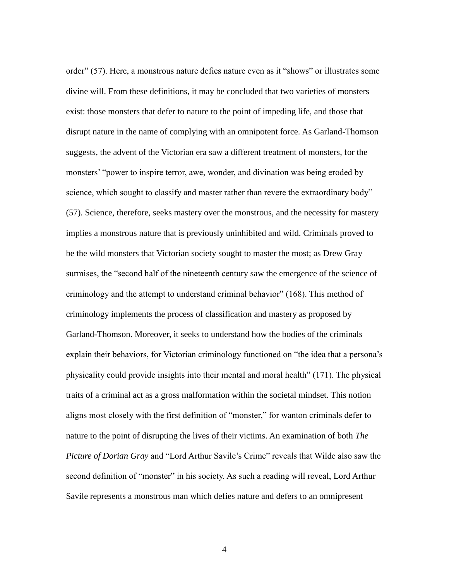order" (57). Here, a monstrous nature defies nature even as it "shows" or illustrates some divine will. From these definitions, it may be concluded that two varieties of monsters exist: those monsters that defer to nature to the point of impeding life, and those that disrupt nature in the name of complying with an omnipotent force. As Garland-Thomson suggests, the advent of the Victorian era saw a different treatment of monsters, for the monsters' "power to inspire terror, awe, wonder, and divination was being eroded by science, which sought to classify and master rather than revere the extraordinary body" (57). Science, therefore, seeks mastery over the monstrous, and the necessity for mastery implies a monstrous nature that is previously uninhibited and wild. Criminals proved to be the wild monsters that Victorian society sought to master the most; as Drew Gray surmises, the "second half of the nineteenth century saw the emergence of the science of criminology and the attempt to understand criminal behavior" (168). This method of criminology implements the process of classification and mastery as proposed by Garland-Thomson. Moreover, it seeks to understand how the bodies of the criminals explain their behaviors, for Victorian criminology functioned on "the idea that a persona's physicality could provide insights into their mental and moral health" (171). The physical traits of a criminal act as a gross malformation within the societal mindset. This notion aligns most closely with the first definition of "monster," for wanton criminals defer to nature to the point of disrupting the lives of their victims. An examination of both *The Picture of Dorian Gray* and "Lord Arthur Savile's Crime" reveals that Wilde also saw the second definition of "monster" in his society. As such a reading will reveal, Lord Arthur Savile represents a monstrous man which defies nature and defers to an omnipresent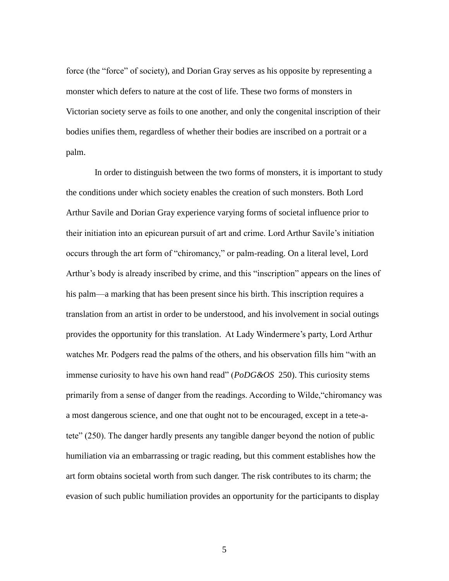force (the "force" of society), and Dorian Gray serves as his opposite by representing a monster which defers to nature at the cost of life. These two forms of monsters in Victorian society serve as foils to one another, and only the congenital inscription of their bodies unifies them, regardless of whether their bodies are inscribed on a portrait or a palm.

In order to distinguish between the two forms of monsters, it is important to study the conditions under which society enables the creation of such monsters. Both Lord Arthur Savile and Dorian Gray experience varying forms of societal influence prior to their initiation into an epicurean pursuit of art and crime. Lord Arthur Savile's initiation occurs through the art form of "chiromancy," or palm-reading. On a literal level, Lord Arthur's body is already inscribed by crime, and this "inscription" appears on the lines of his palm—a marking that has been present since his birth. This inscription requires a translation from an artist in order to be understood, and his involvement in social outings provides the opportunity for this translation. At Lady Windermere's party, Lord Arthur watches Mr. Podgers read the palms of the others, and his observation fills him "with an immense curiosity to have his own hand read" (*PoDG&OS* 250). This curiosity stems primarily from a sense of danger from the readings. According to Wilde,"chiromancy was a most dangerous science, and one that ought not to be encouraged, except in a tete-atete" (250). The danger hardly presents any tangible danger beyond the notion of public humiliation via an embarrassing or tragic reading, but this comment establishes how the art form obtains societal worth from such danger. The risk contributes to its charm; the evasion of such public humiliation provides an opportunity for the participants to display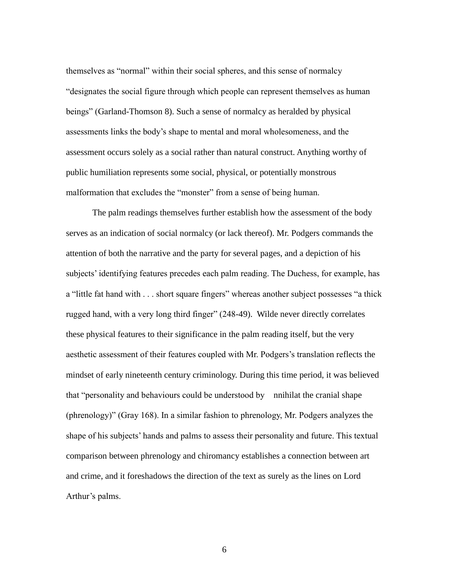themselves as "normal" within their social spheres, and this sense of normalcy "designates the social figure through which people can represent themselves as human beings" (Garland-Thomson 8). Such a sense of normalcy as heralded by physical assessments links the body's shape to mental and moral wholesomeness, and the assessment occurs solely as a social rather than natural construct. Anything worthy of public humiliation represents some social, physical, or potentially monstrous malformation that excludes the "monster" from a sense of being human.

The palm readings themselves further establish how the assessment of the body serves as an indication of social normalcy (or lack thereof). Mr. Podgers commands the attention of both the narrative and the party for several pages, and a depiction of his subjects' identifying features precedes each palm reading. The Duchess, for example, has a "little fat hand with . . . short square fingers" whereas another subject possesses "a thick rugged hand, with a very long third finger" (248-49). Wilde never directly correlates these physical features to their significance in the palm reading itself, but the very aesthetic assessment of their features coupled with Mr. Podgers's translation reflects the mindset of early nineteenth century criminology. During this time period, it was believed that "personality and behaviours could be understood by nnihilat the cranial shape (phrenology)" (Gray 168). In a similar fashion to phrenology, Mr. Podgers analyzes the shape of his subjects' hands and palms to assess their personality and future. This textual comparison between phrenology and chiromancy establishes a connection between art and crime, and it foreshadows the direction of the text as surely as the lines on Lord Arthur's palms.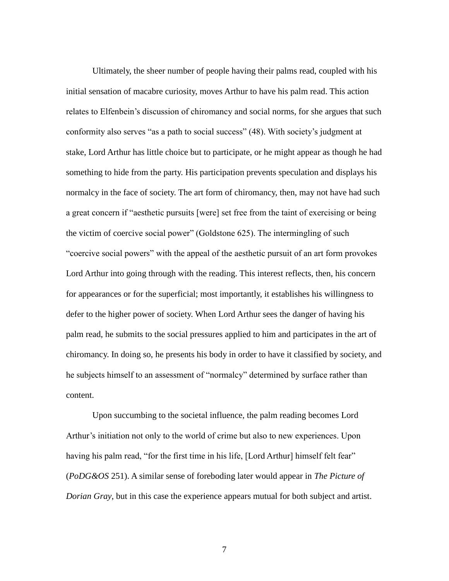Ultimately, the sheer number of people having their palms read, coupled with his initial sensation of macabre curiosity, moves Arthur to have his palm read. This action relates to Elfenbein's discussion of chiromancy and social norms, for she argues that such conformity also serves "as a path to social success" (48). With society's judgment at stake, Lord Arthur has little choice but to participate, or he might appear as though he had something to hide from the party. His participation prevents speculation and displays his normalcy in the face of society. The art form of chiromancy, then, may not have had such a great concern if "aesthetic pursuits [were] set free from the taint of exercising or being the victim of coercive social power" (Goldstone 625). The intermingling of such "coercive social powers" with the appeal of the aesthetic pursuit of an art form provokes Lord Arthur into going through with the reading. This interest reflects, then, his concern for appearances or for the superficial; most importantly, it establishes his willingness to defer to the higher power of society. When Lord Arthur sees the danger of having his palm read, he submits to the social pressures applied to him and participates in the art of chiromancy. In doing so, he presents his body in order to have it classified by society, and he subjects himself to an assessment of "normalcy" determined by surface rather than content.

Upon succumbing to the societal influence, the palm reading becomes Lord Arthur's initiation not only to the world of crime but also to new experiences. Upon having his palm read, "for the first time in his life, [Lord Arthur] himself felt fear" (*PoDG&OS* 251). A similar sense of foreboding later would appear in *The Picture of Dorian Gray*, but in this case the experience appears mutual for both subject and artist.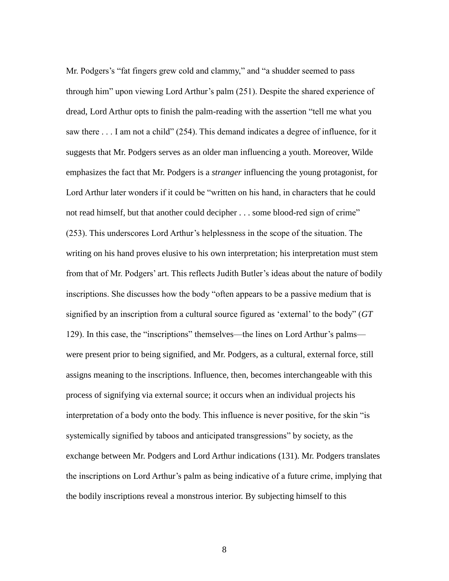Mr. Podgers's "fat fingers grew cold and clammy," and "a shudder seemed to pass through him" upon viewing Lord Arthur's palm (251). Despite the shared experience of dread, Lord Arthur opts to finish the palm-reading with the assertion "tell me what you saw there . . . I am not a child" (254). This demand indicates a degree of influence, for it suggests that Mr. Podgers serves as an older man influencing a youth. Moreover, Wilde emphasizes the fact that Mr. Podgers is a *stranger* influencing the young protagonist, for Lord Arthur later wonders if it could be "written on his hand, in characters that he could not read himself, but that another could decipher . . . some blood-red sign of crime" (253). This underscores Lord Arthur's helplessness in the scope of the situation. The writing on his hand proves elusive to his own interpretation; his interpretation must stem from that of Mr. Podgers' art. This reflects Judith Butler's ideas about the nature of bodily inscriptions. She discusses how the body "often appears to be a passive medium that is signified by an inscription from a cultural source figured as 'external' to the body" (*GT* 129). In this case, the "inscriptions" themselves—the lines on Lord Arthur's palms were present prior to being signified, and Mr. Podgers, as a cultural, external force, still assigns meaning to the inscriptions. Influence, then, becomes interchangeable with this process of signifying via external source; it occurs when an individual projects his interpretation of a body onto the body. This influence is never positive, for the skin "is systemically signified by taboos and anticipated transgressions" by society, as the exchange between Mr. Podgers and Lord Arthur indications (131). Mr. Podgers translates the inscriptions on Lord Arthur's palm as being indicative of a future crime, implying that the bodily inscriptions reveal a monstrous interior. By subjecting himself to this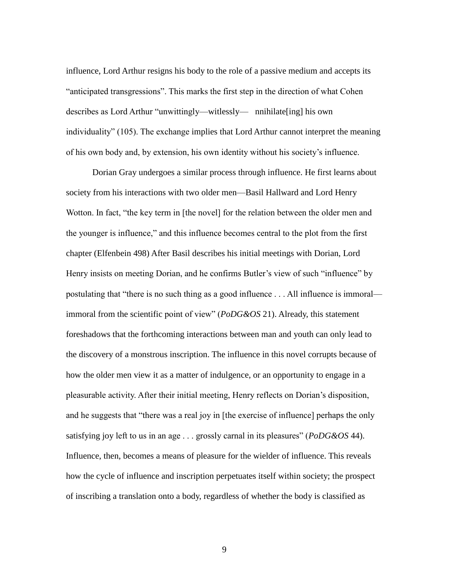influence, Lord Arthur resigns his body to the role of a passive medium and accepts its "anticipated transgressions". This marks the first step in the direction of what Cohen describes as Lord Arthur "unwittingly—witlessly— nnihilate[ing] his own individuality" (105). The exchange implies that Lord Arthur cannot interpret the meaning of his own body and, by extension, his own identity without his society's influence.

Dorian Gray undergoes a similar process through influence. He first learns about society from his interactions with two older men—Basil Hallward and Lord Henry Wotton. In fact, "the key term in [the novel] for the relation between the older men and the younger is influence," and this influence becomes central to the plot from the first chapter (Elfenbein 498) After Basil describes his initial meetings with Dorian, Lord Henry insists on meeting Dorian, and he confirms Butler's view of such "influence" by postulating that "there is no such thing as a good influence . . . All influence is immoral immoral from the scientific point of view" (*PoDG&OS* 21). Already, this statement foreshadows that the forthcoming interactions between man and youth can only lead to the discovery of a monstrous inscription. The influence in this novel corrupts because of how the older men view it as a matter of indulgence, or an opportunity to engage in a pleasurable activity. After their initial meeting, Henry reflects on Dorian's disposition, and he suggests that "there was a real joy in [the exercise of influence] perhaps the only satisfying joy left to us in an age . . . grossly carnal in its pleasures" (*PoDG&OS* 44). Influence, then, becomes a means of pleasure for the wielder of influence. This reveals how the cycle of influence and inscription perpetuates itself within society; the prospect of inscribing a translation onto a body, regardless of whether the body is classified as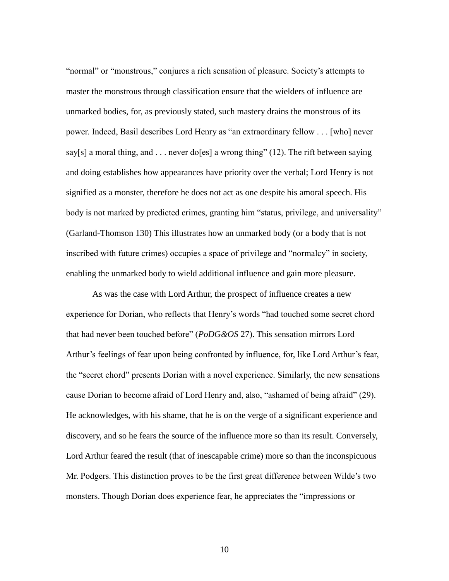"normal" or "monstrous," conjures a rich sensation of pleasure. Society's attempts to master the monstrous through classification ensure that the wielders of influence are unmarked bodies, for, as previously stated, such mastery drains the monstrous of its power. Indeed, Basil describes Lord Henry as "an extraordinary fellow . . . [who] never say[s] a moral thing, and . . . never do[es] a wrong thing" (12). The rift between saying and doing establishes how appearances have priority over the verbal; Lord Henry is not signified as a monster, therefore he does not act as one despite his amoral speech. His body is not marked by predicted crimes, granting him "status, privilege, and universality" (Garland-Thomson 130) This illustrates how an unmarked body (or a body that is not inscribed with future crimes) occupies a space of privilege and "normalcy" in society, enabling the unmarked body to wield additional influence and gain more pleasure.

As was the case with Lord Arthur, the prospect of influence creates a new experience for Dorian, who reflects that Henry's words "had touched some secret chord that had never been touched before" (*PoDG&OS* 27). This sensation mirrors Lord Arthur's feelings of fear upon being confronted by influence, for, like Lord Arthur's fear, the "secret chord" presents Dorian with a novel experience. Similarly, the new sensations cause Dorian to become afraid of Lord Henry and, also, "ashamed of being afraid" (29). He acknowledges, with his shame, that he is on the verge of a significant experience and discovery, and so he fears the source of the influence more so than its result. Conversely, Lord Arthur feared the result (that of inescapable crime) more so than the inconspicuous Mr. Podgers. This distinction proves to be the first great difference between Wilde's two monsters. Though Dorian does experience fear, he appreciates the "impressions or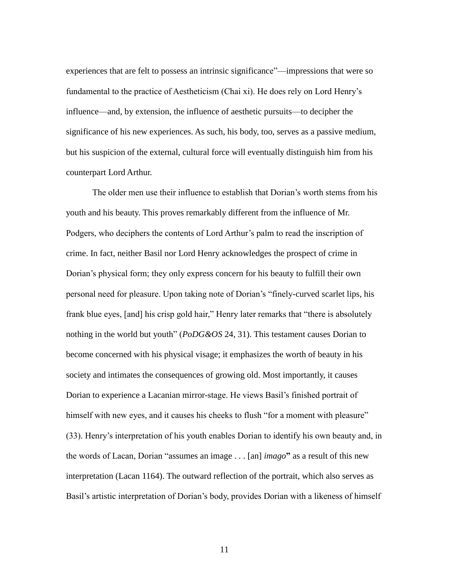experiences that are felt to possess an intrinsic significance"—impressions that were so fundamental to the practice of Aestheticism (Chai xi). He does rely on Lord Henry's influence—and, by extension, the influence of aesthetic pursuits—to decipher the significance of his new experiences. As such, his body, too, serves as a passive medium, but his suspicion of the external, cultural force will eventually distinguish him from his counterpart Lord Arthur.

The older men use their influence to establish that Dorian's worth stems from his youth and his beauty. This proves remarkably different from the influence of Mr. Podgers, who deciphers the contents of Lord Arthur's palm to read the inscription of crime. In fact, neither Basil nor Lord Henry acknowledges the prospect of crime in Dorian's physical form; they only express concern for his beauty to fulfill their own personal need for pleasure. Upon taking note of Dorian's "finely-curved scarlet lips, his frank blue eyes, [and] his crisp gold hair," Henry later remarks that "there is absolutely nothing in the world but youth" (*PoDG&OS* 24, 31). This testament causes Dorian to become concerned with his physical visage; it emphasizes the worth of beauty in his society and intimates the consequences of growing old. Most importantly, it causes Dorian to experience a Lacanian mirror-stage. He views Basil's finished portrait of himself with new eyes, and it causes his cheeks to flush "for a moment with pleasure" (33). Henry's interpretation of his youth enables Dorian to identify his own beauty and, in the words of Lacan, Dorian "assumes an image . . . [an] *imago***"** as a result of this new interpretation (Lacan 1164). The outward reflection of the portrait, which also serves as Basil's artistic interpretation of Dorian's body, provides Dorian with a likeness of himself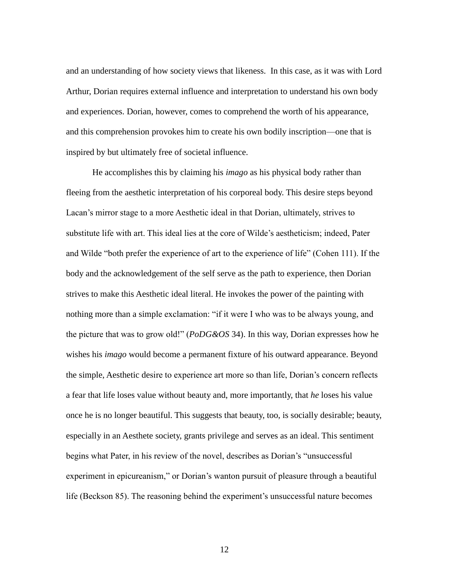and an understanding of how society views that likeness. In this case, as it was with Lord Arthur, Dorian requires external influence and interpretation to understand his own body and experiences. Dorian, however, comes to comprehend the worth of his appearance, and this comprehension provokes him to create his own bodily inscription—one that is inspired by but ultimately free of societal influence.

He accomplishes this by claiming his *imago* as his physical body rather than fleeing from the aesthetic interpretation of his corporeal body. This desire steps beyond Lacan's mirror stage to a more Aesthetic ideal in that Dorian, ultimately, strives to substitute life with art. This ideal lies at the core of Wilde's aestheticism; indeed, Pater and Wilde "both prefer the experience of art to the experience of life" (Cohen 111). If the body and the acknowledgement of the self serve as the path to experience, then Dorian strives to make this Aesthetic ideal literal. He invokes the power of the painting with nothing more than a simple exclamation: "if it were I who was to be always young, and the picture that was to grow old!" (*PoDG&OS* 34). In this way, Dorian expresses how he wishes his *imago* would become a permanent fixture of his outward appearance. Beyond the simple, Aesthetic desire to experience art more so than life, Dorian's concern reflects a fear that life loses value without beauty and, more importantly, that *he* loses his value once he is no longer beautiful. This suggests that beauty, too, is socially desirable; beauty, especially in an Aesthete society, grants privilege and serves as an ideal. This sentiment begins what Pater, in his review of the novel, describes as Dorian's "unsuccessful experiment in epicureanism," or Dorian's wanton pursuit of pleasure through a beautiful life (Beckson 85). The reasoning behind the experiment's unsuccessful nature becomes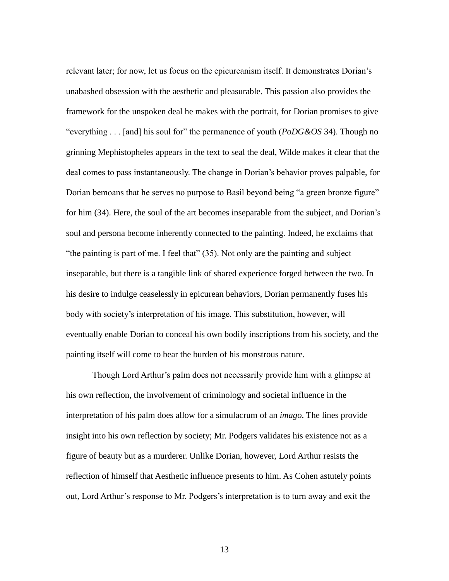relevant later; for now, let us focus on the epicureanism itself. It demonstrates Dorian's unabashed obsession with the aesthetic and pleasurable. This passion also provides the framework for the unspoken deal he makes with the portrait, for Dorian promises to give "everything . . . [and] his soul for" the permanence of youth (*PoDG&OS* 34). Though no grinning Mephistopheles appears in the text to seal the deal, Wilde makes it clear that the deal comes to pass instantaneously. The change in Dorian's behavior proves palpable, for Dorian bemoans that he serves no purpose to Basil beyond being "a green bronze figure" for him (34). Here, the soul of the art becomes inseparable from the subject, and Dorian's soul and persona become inherently connected to the painting. Indeed, he exclaims that "the painting is part of me. I feel that" (35). Not only are the painting and subject inseparable, but there is a tangible link of shared experience forged between the two. In his desire to indulge ceaselessly in epicurean behaviors, Dorian permanently fuses his body with society's interpretation of his image. This substitution, however, will eventually enable Dorian to conceal his own bodily inscriptions from his society, and the painting itself will come to bear the burden of his monstrous nature.

Though Lord Arthur's palm does not necessarily provide him with a glimpse at his own reflection, the involvement of criminology and societal influence in the interpretation of his palm does allow for a simulacrum of an *imago*. The lines provide insight into his own reflection by society; Mr. Podgers validates his existence not as a figure of beauty but as a murderer. Unlike Dorian, however, Lord Arthur resists the reflection of himself that Aesthetic influence presents to him. As Cohen astutely points out, Lord Arthur's response to Mr. Podgers's interpretation is to turn away and exit the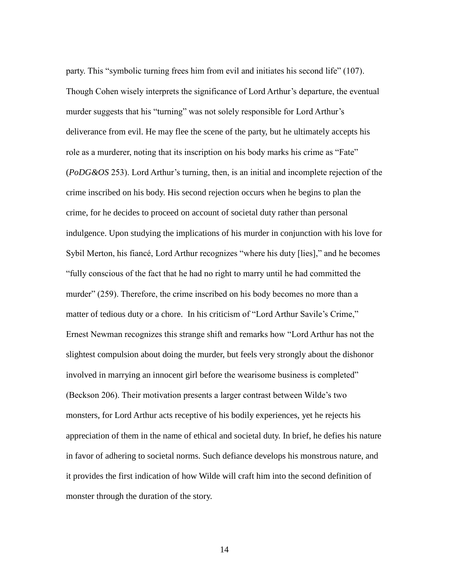party. This "symbolic turning frees him from evil and initiates his second life" (107). Though Cohen wisely interprets the significance of Lord Arthur's departure, the eventual murder suggests that his "turning" was not solely responsible for Lord Arthur's deliverance from evil. He may flee the scene of the party, but he ultimately accepts his role as a murderer, noting that its inscription on his body marks his crime as "Fate" (*PoDG&OS* 253). Lord Arthur's turning, then, is an initial and incomplete rejection of the crime inscribed on his body. His second rejection occurs when he begins to plan the crime, for he decides to proceed on account of societal duty rather than personal indulgence. Upon studying the implications of his murder in conjunction with his love for Sybil Merton, his fiancé, Lord Arthur recognizes "where his duty [lies]," and he becomes "fully conscious of the fact that he had no right to marry until he had committed the murder" (259). Therefore, the crime inscribed on his body becomes no more than a matter of tedious duty or a chore. In his criticism of "Lord Arthur Savile's Crime," Ernest Newman recognizes this strange shift and remarks how "Lord Arthur has not the slightest compulsion about doing the murder, but feels very strongly about the dishonor involved in marrying an innocent girl before the wearisome business is completed" (Beckson 206). Their motivation presents a larger contrast between Wilde's two monsters, for Lord Arthur acts receptive of his bodily experiences, yet he rejects his appreciation of them in the name of ethical and societal duty. In brief, he defies his nature in favor of adhering to societal norms. Such defiance develops his monstrous nature, and it provides the first indication of how Wilde will craft him into the second definition of monster through the duration of the story.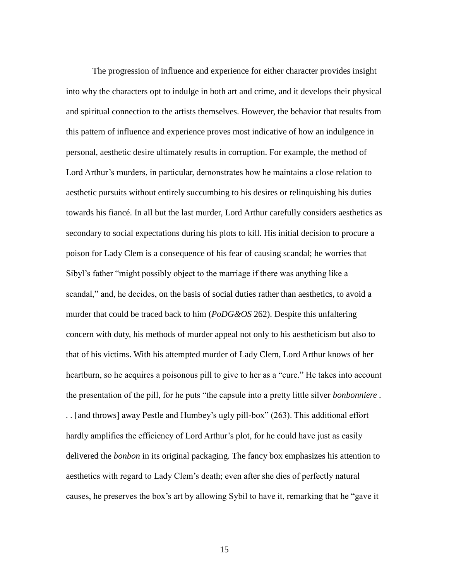The progression of influence and experience for either character provides insight into why the characters opt to indulge in both art and crime, and it develops their physical and spiritual connection to the artists themselves. However, the behavior that results from this pattern of influence and experience proves most indicative of how an indulgence in personal, aesthetic desire ultimately results in corruption. For example, the method of Lord Arthur's murders, in particular, demonstrates how he maintains a close relation to aesthetic pursuits without entirely succumbing to his desires or relinquishing his duties towards his fiancé. In all but the last murder, Lord Arthur carefully considers aesthetics as secondary to social expectations during his plots to kill. His initial decision to procure a poison for Lady Clem is a consequence of his fear of causing scandal; he worries that Sibyl's father "might possibly object to the marriage if there was anything like a scandal," and, he decides, on the basis of social duties rather than aesthetics, to avoid a murder that could be traced back to him (*PoDG&OS* 262). Despite this unfaltering concern with duty, his methods of murder appeal not only to his aestheticism but also to that of his victims. With his attempted murder of Lady Clem, Lord Arthur knows of her heartburn, so he acquires a poisonous pill to give to her as a "cure." He takes into account the presentation of the pill, for he puts "the capsule into a pretty little silver *bonbonniere . . .* [and throws] away Pestle and Humbey's ugly pill-box" (263). This additional effort hardly amplifies the efficiency of Lord Arthur's plot, for he could have just as easily delivered the *bonbon* in its original packaging. The fancy box emphasizes his attention to aesthetics with regard to Lady Clem's death; even after she dies of perfectly natural causes, he preserves the box's art by allowing Sybil to have it, remarking that he "gave it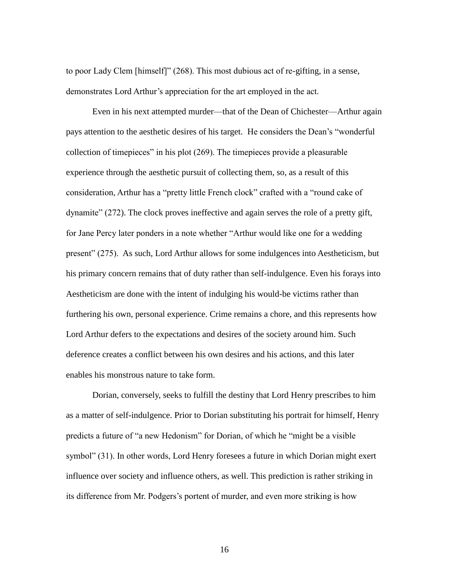to poor Lady Clem [himself]" (268). This most dubious act of re-gifting, in a sense, demonstrates Lord Arthur's appreciation for the art employed in the act.

Even in his next attempted murder—that of the Dean of Chichester—Arthur again pays attention to the aesthetic desires of his target. He considers the Dean's "wonderful collection of timepieces" in his plot (269). The timepieces provide a pleasurable experience through the aesthetic pursuit of collecting them, so, as a result of this consideration, Arthur has a "pretty little French clock" crafted with a "round cake of dynamite" (272). The clock proves ineffective and again serves the role of a pretty gift, for Jane Percy later ponders in a note whether "Arthur would like one for a wedding present" (275). As such, Lord Arthur allows for some indulgences into Aestheticism, but his primary concern remains that of duty rather than self-indulgence. Even his forays into Aestheticism are done with the intent of indulging his would-be victims rather than furthering his own, personal experience. Crime remains a chore, and this represents how Lord Arthur defers to the expectations and desires of the society around him. Such deference creates a conflict between his own desires and his actions, and this later enables his monstrous nature to take form.

Dorian, conversely, seeks to fulfill the destiny that Lord Henry prescribes to him as a matter of self-indulgence. Prior to Dorian substituting his portrait for himself, Henry predicts a future of "a new Hedonism" for Dorian, of which he "might be a visible symbol" (31). In other words, Lord Henry foresees a future in which Dorian might exert influence over society and influence others, as well. This prediction is rather striking in its difference from Mr. Podgers's portent of murder, and even more striking is how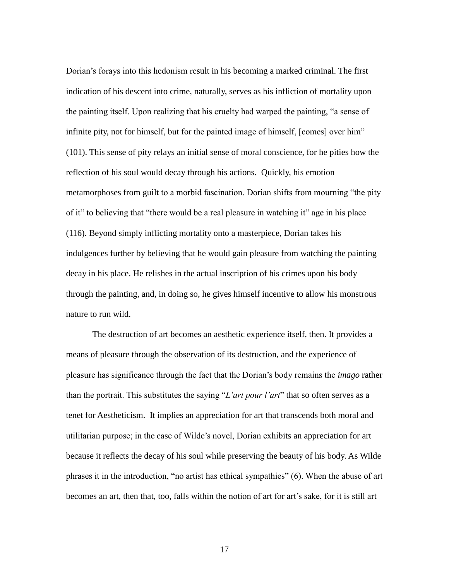Dorian's forays into this hedonism result in his becoming a marked criminal. The first indication of his descent into crime, naturally, serves as his infliction of mortality upon the painting itself. Upon realizing that his cruelty had warped the painting, "a sense of infinite pity, not for himself, but for the painted image of himself, [comes] over him" (101). This sense of pity relays an initial sense of moral conscience, for he pities how the reflection of his soul would decay through his actions. Quickly, his emotion metamorphoses from guilt to a morbid fascination. Dorian shifts from mourning "the pity of it" to believing that "there would be a real pleasure in watching it" age in his place (116). Beyond simply inflicting mortality onto a masterpiece, Dorian takes his indulgences further by believing that he would gain pleasure from watching the painting decay in his place. He relishes in the actual inscription of his crimes upon his body through the painting, and, in doing so, he gives himself incentive to allow his monstrous nature to run wild.

The destruction of art becomes an aesthetic experience itself, then. It provides a means of pleasure through the observation of its destruction, and the experience of pleasure has significance through the fact that the Dorian's body remains the *imago* rather than the portrait. This substitutes the saying "*L'art pour l'art*" that so often serves as a tenet for Aestheticism. It implies an appreciation for art that transcends both moral and utilitarian purpose; in the case of Wilde's novel, Dorian exhibits an appreciation for art because it reflects the decay of his soul while preserving the beauty of his body. As Wilde phrases it in the introduction, "no artist has ethical sympathies" (6). When the abuse of art becomes an art, then that, too, falls within the notion of art for art's sake, for it is still art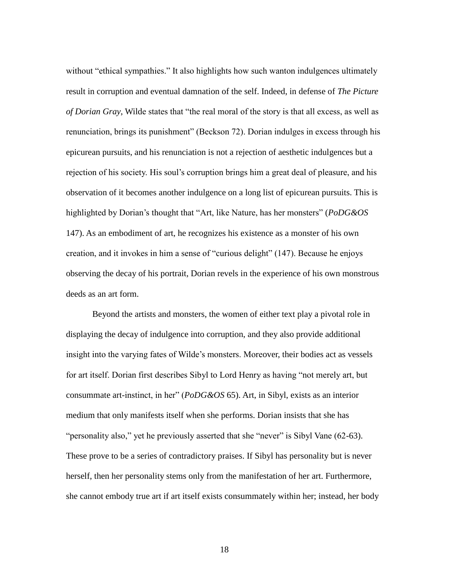without "ethical sympathies." It also highlights how such wanton indulgences ultimately result in corruption and eventual damnation of the self. Indeed, in defense of *The Picture of Dorian Gray*, Wilde states that "the real moral of the story is that all excess, as well as renunciation, brings its punishment" (Beckson 72). Dorian indulges in excess through his epicurean pursuits, and his renunciation is not a rejection of aesthetic indulgences but a rejection of his society. His soul's corruption brings him a great deal of pleasure, and his observation of it becomes another indulgence on a long list of epicurean pursuits. This is highlighted by Dorian's thought that "Art, like Nature, has her monsters" (*PoDG&OS*  147). As an embodiment of art, he recognizes his existence as a monster of his own creation, and it invokes in him a sense of "curious delight" (147). Because he enjoys observing the decay of his portrait, Dorian revels in the experience of his own monstrous deeds as an art form.

Beyond the artists and monsters, the women of either text play a pivotal role in displaying the decay of indulgence into corruption, and they also provide additional insight into the varying fates of Wilde's monsters. Moreover, their bodies act as vessels for art itself. Dorian first describes Sibyl to Lord Henry as having "not merely art, but consummate art-instinct, in her" (*PoDG&OS* 65). Art, in Sibyl, exists as an interior medium that only manifests itself when she performs. Dorian insists that she has "personality also," yet he previously asserted that she "never" is Sibyl Vane (62-63). These prove to be a series of contradictory praises. If Sibyl has personality but is never herself, then her personality stems only from the manifestation of her art. Furthermore, she cannot embody true art if art itself exists consummately within her; instead, her body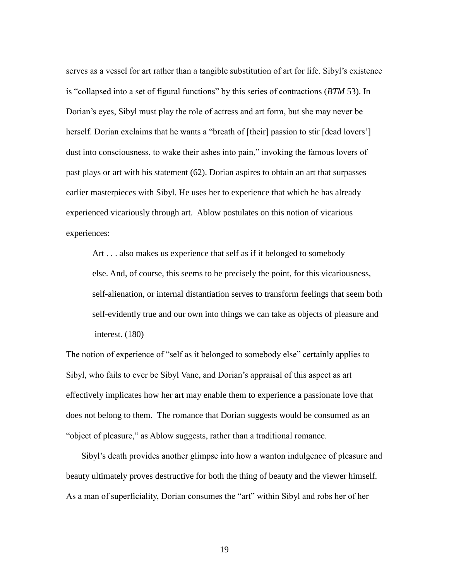serves as a vessel for art rather than a tangible substitution of art for life. Sibyl's existence is "collapsed into a set of figural functions" by this series of contractions (*BTM* 53). In Dorian's eyes, Sibyl must play the role of actress and art form, but she may never be herself. Dorian exclaims that he wants a "breath of [their] passion to stir [dead lovers'] dust into consciousness, to wake their ashes into pain," invoking the famous lovers of past plays or art with his statement (62). Dorian aspires to obtain an art that surpasses earlier masterpieces with Sibyl. He uses her to experience that which he has already experienced vicariously through art. Ablow postulates on this notion of vicarious experiences:

 Art . . . also makes us experience that self as if it belonged to somebody else. And, of course, this seems to be precisely the point, for this vicariousness, self-alienation, or internal distantiation serves to transform feelings that seem both self-evidently true and our own into things we can take as objects of pleasure and interest. (180)

The notion of experience of "self as it belonged to somebody else" certainly applies to Sibyl, who fails to ever be Sibyl Vane, and Dorian's appraisal of this aspect as art effectively implicates how her art may enable them to experience a passionate love that does not belong to them. The romance that Dorian suggests would be consumed as an "object of pleasure," as Ablow suggests, rather than a traditional romance.

Sibyl's death provides another glimpse into how a wanton indulgence of pleasure and beauty ultimately proves destructive for both the thing of beauty and the viewer himself. As a man of superficiality, Dorian consumes the "art" within Sibyl and robs her of her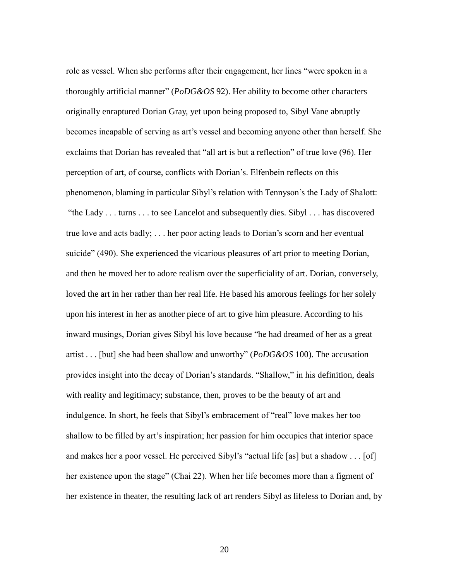role as vessel. When she performs after their engagement, her lines "were spoken in a thoroughly artificial manner" (*PoDG&OS* 92). Her ability to become other characters originally enraptured Dorian Gray, yet upon being proposed to, Sibyl Vane abruptly becomes incapable of serving as art's vessel and becoming anyone other than herself. She exclaims that Dorian has revealed that "all art is but a reflection" of true love (96). Her perception of art, of course, conflicts with Dorian's. Elfenbein reflects on this phenomenon, blaming in particular Sibyl's relation with Tennyson's the Lady of Shalott: "the Lady . . . turns . . . to see Lancelot and subsequently dies. Sibyl . . . has discovered true love and acts badly; . . . her poor acting leads to Dorian's scorn and her eventual suicide" (490). She experienced the vicarious pleasures of art prior to meeting Dorian, and then he moved her to adore realism over the superficiality of art. Dorian, conversely, loved the art in her rather than her real life. He based his amorous feelings for her solely upon his interest in her as another piece of art to give him pleasure. According to his inward musings, Dorian gives Sibyl his love because "he had dreamed of her as a great artist . . . [but] she had been shallow and unworthy" (*PoDG&OS* 100). The accusation provides insight into the decay of Dorian's standards. "Shallow," in his definition, deals with reality and legitimacy; substance, then, proves to be the beauty of art and indulgence. In short, he feels that Sibyl's embracement of "real" love makes her too shallow to be filled by art's inspiration; her passion for him occupies that interior space and makes her a poor vessel. He perceived Sibyl's "actual life [as] but a shadow . . . [of] her existence upon the stage" (Chai 22). When her life becomes more than a figment of her existence in theater, the resulting lack of art renders Sibyl as lifeless to Dorian and, by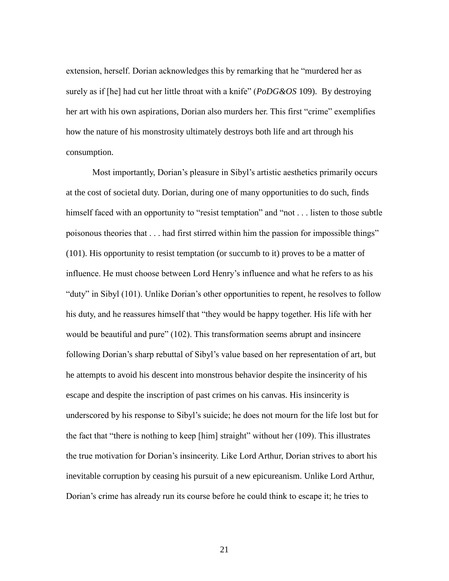extension, herself. Dorian acknowledges this by remarking that he "murdered her as surely as if [he] had cut her little throat with a knife" (*PoDG&OS* 109). By destroying her art with his own aspirations, Dorian also murders her. This first "crime" exemplifies how the nature of his monstrosity ultimately destroys both life and art through his consumption.

Most importantly, Dorian's pleasure in Sibyl's artistic aesthetics primarily occurs at the cost of societal duty. Dorian, during one of many opportunities to do such, finds himself faced with an opportunity to "resist temptation" and "not . . . listen to those subtle poisonous theories that . . . had first stirred within him the passion for impossible things" (101). His opportunity to resist temptation (or succumb to it) proves to be a matter of influence. He must choose between Lord Henry's influence and what he refers to as his "duty" in Sibyl (101). Unlike Dorian's other opportunities to repent, he resolves to follow his duty, and he reassures himself that "they would be happy together. His life with her would be beautiful and pure" (102). This transformation seems abrupt and insincere following Dorian's sharp rebuttal of Sibyl's value based on her representation of art, but he attempts to avoid his descent into monstrous behavior despite the insincerity of his escape and despite the inscription of past crimes on his canvas. His insincerity is underscored by his response to Sibyl's suicide; he does not mourn for the life lost but for the fact that "there is nothing to keep [him] straight" without her (109). This illustrates the true motivation for Dorian's insincerity. Like Lord Arthur, Dorian strives to abort his inevitable corruption by ceasing his pursuit of a new epicureanism. Unlike Lord Arthur, Dorian's crime has already run its course before he could think to escape it; he tries to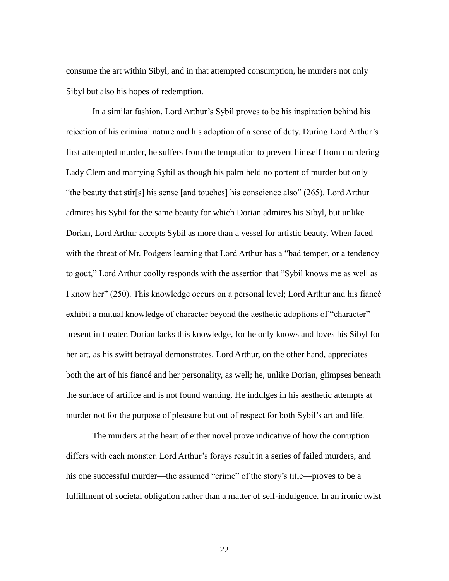consume the art within Sibyl, and in that attempted consumption, he murders not only Sibyl but also his hopes of redemption.

In a similar fashion, Lord Arthur's Sybil proves to be his inspiration behind his rejection of his criminal nature and his adoption of a sense of duty. During Lord Arthur's first attempted murder, he suffers from the temptation to prevent himself from murdering Lady Clem and marrying Sybil as though his palm held no portent of murder but only "the beauty that stir[s] his sense [and touches] his conscience also" (265). Lord Arthur admires his Sybil for the same beauty for which Dorian admires his Sibyl, but unlike Dorian, Lord Arthur accepts Sybil as more than a vessel for artistic beauty. When faced with the threat of Mr. Podgers learning that Lord Arthur has a "bad temper, or a tendency to gout," Lord Arthur coolly responds with the assertion that "Sybil knows me as well as I know her" (250). This knowledge occurs on a personal level; Lord Arthur and his fiancé exhibit a mutual knowledge of character beyond the aesthetic adoptions of "character" present in theater. Dorian lacks this knowledge, for he only knows and loves his Sibyl for her art, as his swift betrayal demonstrates. Lord Arthur, on the other hand, appreciates both the art of his fiancé and her personality, as well; he, unlike Dorian, glimpses beneath the surface of artifice and is not found wanting. He indulges in his aesthetic attempts at murder not for the purpose of pleasure but out of respect for both Sybil's art and life.

The murders at the heart of either novel prove indicative of how the corruption differs with each monster. Lord Arthur's forays result in a series of failed murders, and his one successful murder—the assumed "crime" of the story's title—proves to be a fulfillment of societal obligation rather than a matter of self-indulgence. In an ironic twist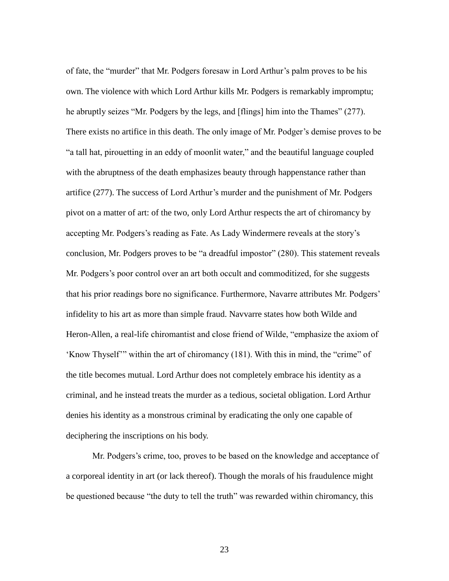of fate, the "murder" that Mr. Podgers foresaw in Lord Arthur's palm proves to be his own. The violence with which Lord Arthur kills Mr. Podgers is remarkably impromptu; he abruptly seizes "Mr. Podgers by the legs, and [flings] him into the Thames" (277). There exists no artifice in this death. The only image of Mr. Podger's demise proves to be "a tall hat, pirouetting in an eddy of moonlit water," and the beautiful language coupled with the abruptness of the death emphasizes beauty through happenstance rather than artifice (277). The success of Lord Arthur's murder and the punishment of Mr. Podgers pivot on a matter of art: of the two, only Lord Arthur respects the art of chiromancy by accepting Mr. Podgers's reading as Fate. As Lady Windermere reveals at the story's conclusion, Mr. Podgers proves to be "a dreadful impostor" (280). This statement reveals Mr. Podgers's poor control over an art both occult and commoditized, for she suggests that his prior readings bore no significance. Furthermore, Navarre attributes Mr. Podgers' infidelity to his art as more than simple fraud. Navvarre states how both Wilde and Heron-Allen, a real-life chiromantist and close friend of Wilde, "emphasize the axiom of 'Know Thyself'" within the art of chiromancy (181). With this in mind, the "crime" of the title becomes mutual. Lord Arthur does not completely embrace his identity as a criminal, and he instead treats the murder as a tedious, societal obligation. Lord Arthur denies his identity as a monstrous criminal by eradicating the only one capable of deciphering the inscriptions on his body.

Mr. Podgers's crime, too, proves to be based on the knowledge and acceptance of a corporeal identity in art (or lack thereof). Though the morals of his fraudulence might be questioned because "the duty to tell the truth" was rewarded within chiromancy, this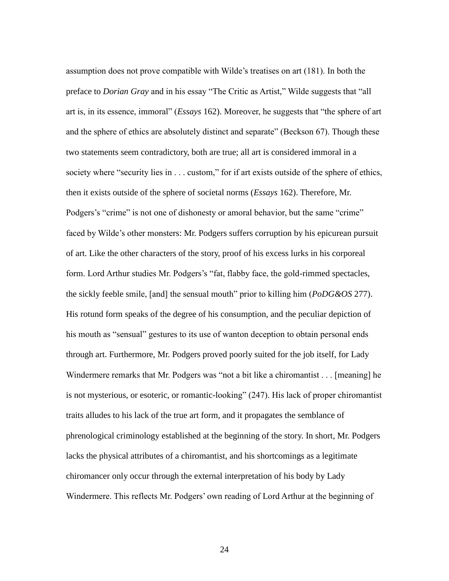assumption does not prove compatible with Wilde's treatises on art (181). In both the preface to *Dorian Gray* and in his essay "The Critic as Artist," Wilde suggests that "all art is, in its essence, immoral" (*Essays* 162). Moreover, he suggests that "the sphere of art and the sphere of ethics are absolutely distinct and separate" (Beckson 67). Though these two statements seem contradictory, both are true; all art is considered immoral in a society where "security lies in . . . custom," for if art exists outside of the sphere of ethics, then it exists outside of the sphere of societal norms (*Essays* 162). Therefore, Mr. Podgers's "crime" is not one of dishonesty or amoral behavior, but the same "crime" faced by Wilde's other monsters: Mr. Podgers suffers corruption by his epicurean pursuit of art. Like the other characters of the story, proof of his excess lurks in his corporeal form. Lord Arthur studies Mr. Podgers's "fat, flabby face, the gold-rimmed spectacles, the sickly feeble smile, [and] the sensual mouth" prior to killing him (*PoDG&OS* 277). His rotund form speaks of the degree of his consumption, and the peculiar depiction of his mouth as "sensual" gestures to its use of wanton deception to obtain personal ends through art. Furthermore, Mr. Podgers proved poorly suited for the job itself, for Lady Windermere remarks that Mr. Podgers was "not a bit like a chiromantist . . . [meaning] he is not mysterious, or esoteric, or romantic-looking" (247). His lack of proper chiromantist traits alludes to his lack of the true art form, and it propagates the semblance of phrenological criminology established at the beginning of the story. In short, Mr. Podgers lacks the physical attributes of a chiromantist, and his shortcomings as a legitimate chiromancer only occur through the external interpretation of his body by Lady Windermere. This reflects Mr. Podgers' own reading of Lord Arthur at the beginning of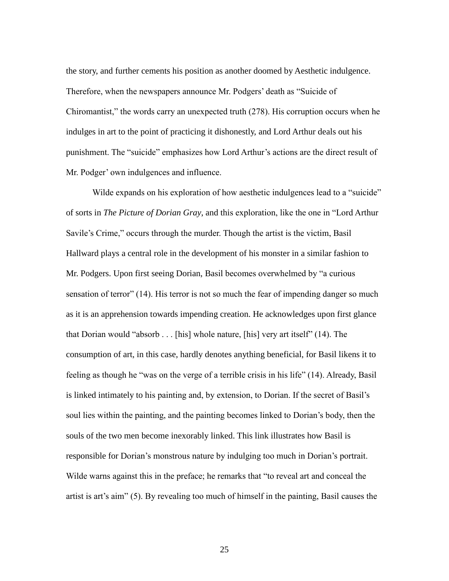the story, and further cements his position as another doomed by Aesthetic indulgence. Therefore, when the newspapers announce Mr. Podgers' death as "Suicide of Chiromantist," the words carry an unexpected truth (278). His corruption occurs when he indulges in art to the point of practicing it dishonestly, and Lord Arthur deals out his punishment. The "suicide" emphasizes how Lord Arthur's actions are the direct result of Mr. Podger' own indulgences and influence.

Wilde expands on his exploration of how aesthetic indulgences lead to a "suicide" of sorts in *The Picture of Dorian Gray*, and this exploration, like the one in "Lord Arthur Savile's Crime," occurs through the murder. Though the artist is the victim, Basil Hallward plays a central role in the development of his monster in a similar fashion to Mr. Podgers. Upon first seeing Dorian, Basil becomes overwhelmed by "a curious sensation of terror" (14). His terror is not so much the fear of impending danger so much as it is an apprehension towards impending creation. He acknowledges upon first glance that Dorian would "absorb . . . [his] whole nature, [his] very art itself" (14). The consumption of art, in this case, hardly denotes anything beneficial, for Basil likens it to feeling as though he "was on the verge of a terrible crisis in his life" (14). Already, Basil is linked intimately to his painting and, by extension, to Dorian. If the secret of Basil's soul lies within the painting, and the painting becomes linked to Dorian's body, then the souls of the two men become inexorably linked. This link illustrates how Basil is responsible for Dorian's monstrous nature by indulging too much in Dorian's portrait. Wilde warns against this in the preface; he remarks that "to reveal art and conceal the artist is art's aim" (5). By revealing too much of himself in the painting, Basil causes the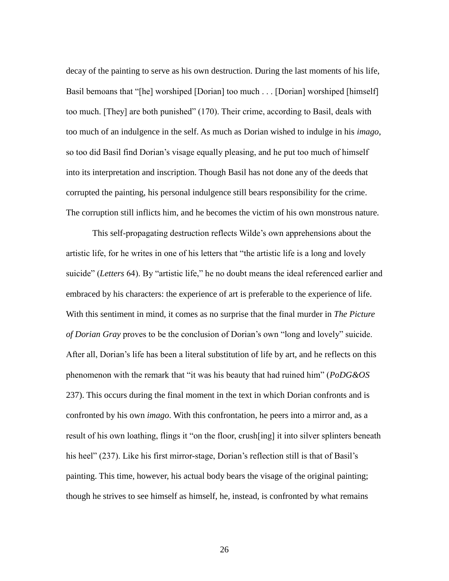decay of the painting to serve as his own destruction. During the last moments of his life, Basil bemoans that "[he] worshiped [Dorian] too much . . . [Dorian] worshiped [himself] too much. [They] are both punished" (170). Their crime, according to Basil, deals with too much of an indulgence in the self. As much as Dorian wished to indulge in his *imago*, so too did Basil find Dorian's visage equally pleasing, and he put too much of himself into its interpretation and inscription. Though Basil has not done any of the deeds that corrupted the painting, his personal indulgence still bears responsibility for the crime. The corruption still inflicts him, and he becomes the victim of his own monstrous nature.

This self-propagating destruction reflects Wilde's own apprehensions about the artistic life, for he writes in one of his letters that "the artistic life is a long and lovely suicide" (*Letters* 64). By "artistic life," he no doubt means the ideal referenced earlier and embraced by his characters: the experience of art is preferable to the experience of life. With this sentiment in mind, it comes as no surprise that the final murder in *The Picture of Dorian Gray* proves to be the conclusion of Dorian's own "long and lovely" suicide. After all, Dorian's life has been a literal substitution of life by art, and he reflects on this phenomenon with the remark that "it was his beauty that had ruined him" (*PoDG&OS* 237). This occurs during the final moment in the text in which Dorian confronts and is confronted by his own *imago*. With this confrontation, he peers into a mirror and, as a result of his own loathing, flings it "on the floor, crush[ing] it into silver splinters beneath his heel" (237). Like his first mirror-stage, Dorian's reflection still is that of Basil's painting. This time, however, his actual body bears the visage of the original painting; though he strives to see himself as himself, he, instead, is confronted by what remains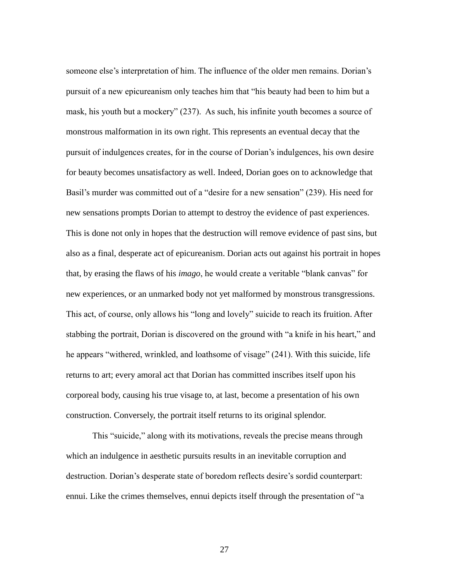someone else's interpretation of him. The influence of the older men remains. Dorian's pursuit of a new epicureanism only teaches him that "his beauty had been to him but a mask, his youth but a mockery" (237). As such, his infinite youth becomes a source of monstrous malformation in its own right. This represents an eventual decay that the pursuit of indulgences creates, for in the course of Dorian's indulgences, his own desire for beauty becomes unsatisfactory as well. Indeed, Dorian goes on to acknowledge that Basil's murder was committed out of a "desire for a new sensation" (239). His need for new sensations prompts Dorian to attempt to destroy the evidence of past experiences. This is done not only in hopes that the destruction will remove evidence of past sins, but also as a final, desperate act of epicureanism. Dorian acts out against his portrait in hopes that, by erasing the flaws of his *imago*, he would create a veritable "blank canvas" for new experiences, or an unmarked body not yet malformed by monstrous transgressions. This act, of course, only allows his "long and lovely" suicide to reach its fruition. After stabbing the portrait, Dorian is discovered on the ground with "a knife in his heart," and he appears "withered, wrinkled, and loathsome of visage" (241). With this suicide, life returns to art; every amoral act that Dorian has committed inscribes itself upon his corporeal body, causing his true visage to, at last, become a presentation of his own construction. Conversely, the portrait itself returns to its original splendor.

This "suicide," along with its motivations, reveals the precise means through which an indulgence in aesthetic pursuits results in an inevitable corruption and destruction. Dorian's desperate state of boredom reflects desire's sordid counterpart: ennui. Like the crimes themselves, ennui depicts itself through the presentation of "a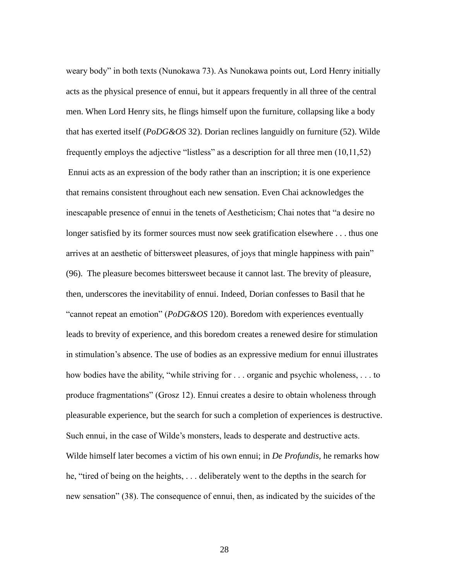weary body" in both texts (Nunokawa 73). As Nunokawa points out, Lord Henry initially acts as the physical presence of ennui, but it appears frequently in all three of the central men. When Lord Henry sits, he flings himself upon the furniture, collapsing like a body that has exerted itself (*PoDG&OS* 32). Dorian reclines languidly on furniture (52). Wilde frequently employs the adjective "listless" as a description for all three men (10,11,52) Ennui acts as an expression of the body rather than an inscription; it is one experience that remains consistent throughout each new sensation. Even Chai acknowledges the inescapable presence of ennui in the tenets of Aestheticism; Chai notes that "a desire no longer satisfied by its former sources must now seek gratification elsewhere . . . thus one arrives at an aesthetic of bittersweet pleasures, of joys that mingle happiness with pain" (96). The pleasure becomes bittersweet because it cannot last. The brevity of pleasure, then, underscores the inevitability of ennui. Indeed, Dorian confesses to Basil that he "cannot repeat an emotion" (*PoDG&OS* 120). Boredom with experiences eventually leads to brevity of experience, and this boredom creates a renewed desire for stimulation in stimulation's absence. The use of bodies as an expressive medium for ennui illustrates how bodies have the ability, "while striving for . . . organic and psychic wholeness, . . . to produce fragmentations" (Grosz 12). Ennui creates a desire to obtain wholeness through pleasurable experience, but the search for such a completion of experiences is destructive. Such ennui, in the case of Wilde's monsters, leads to desperate and destructive acts. Wilde himself later becomes a victim of his own ennui; in *De Profundis,* he remarks how he, "tired of being on the heights, . . . deliberately went to the depths in the search for new sensation" (38). The consequence of ennui, then, as indicated by the suicides of the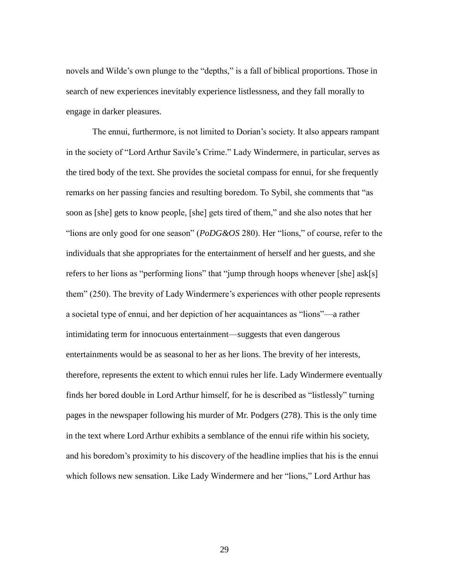novels and Wilde's own plunge to the "depths," is a fall of biblical proportions. Those in search of new experiences inevitably experience listlessness, and they fall morally to engage in darker pleasures.

The ennui, furthermore, is not limited to Dorian's society. It also appears rampant in the society of "Lord Arthur Savile's Crime." Lady Windermere, in particular, serves as the tired body of the text. She provides the societal compass for ennui, for she frequently remarks on her passing fancies and resulting boredom. To Sybil, she comments that "as soon as [she] gets to know people, [she] gets tired of them," and she also notes that her "lions are only good for one season" (*PoDG&OS* 280). Her "lions," of course, refer to the individuals that she appropriates for the entertainment of herself and her guests, and she refers to her lions as "performing lions" that "jump through hoops whenever [she] ask[s] them" (250). The brevity of Lady Windermere's experiences with other people represents a societal type of ennui, and her depiction of her acquaintances as "lions"—a rather intimidating term for innocuous entertainment—suggests that even dangerous entertainments would be as seasonal to her as her lions. The brevity of her interests, therefore, represents the extent to which ennui rules her life. Lady Windermere eventually finds her bored double in Lord Arthur himself, for he is described as "listlessly" turning pages in the newspaper following his murder of Mr. Podgers (278). This is the only time in the text where Lord Arthur exhibits a semblance of the ennui rife within his society, and his boredom's proximity to his discovery of the headline implies that his is the ennui which follows new sensation. Like Lady Windermere and her "lions," Lord Arthur has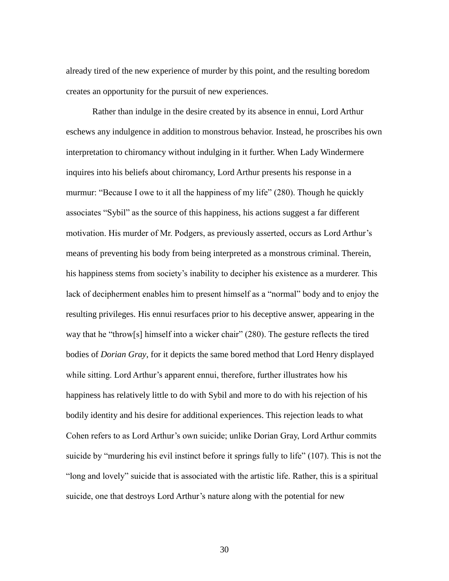already tired of the new experience of murder by this point, and the resulting boredom creates an opportunity for the pursuit of new experiences.

Rather than indulge in the desire created by its absence in ennui, Lord Arthur eschews any indulgence in addition to monstrous behavior. Instead, he proscribes his own interpretation to chiromancy without indulging in it further. When Lady Windermere inquires into his beliefs about chiromancy, Lord Arthur presents his response in a murmur: "Because I owe to it all the happiness of my life" (280). Though he quickly associates "Sybil" as the source of this happiness, his actions suggest a far different motivation. His murder of Mr. Podgers, as previously asserted, occurs as Lord Arthur's means of preventing his body from being interpreted as a monstrous criminal. Therein, his happiness stems from society's inability to decipher his existence as a murderer. This lack of decipherment enables him to present himself as a "normal" body and to enjoy the resulting privileges. His ennui resurfaces prior to his deceptive answer, appearing in the way that he "throw[s] himself into a wicker chair" (280). The gesture reflects the tired bodies of *Dorian Gray*, for it depicts the same bored method that Lord Henry displayed while sitting. Lord Arthur's apparent ennui, therefore, further illustrates how his happiness has relatively little to do with Sybil and more to do with his rejection of his bodily identity and his desire for additional experiences. This rejection leads to what Cohen refers to as Lord Arthur's own suicide; unlike Dorian Gray, Lord Arthur commits suicide by "murdering his evil instinct before it springs fully to life" (107). This is not the "long and lovely" suicide that is associated with the artistic life. Rather, this is a spiritual suicide, one that destroys Lord Arthur's nature along with the potential for new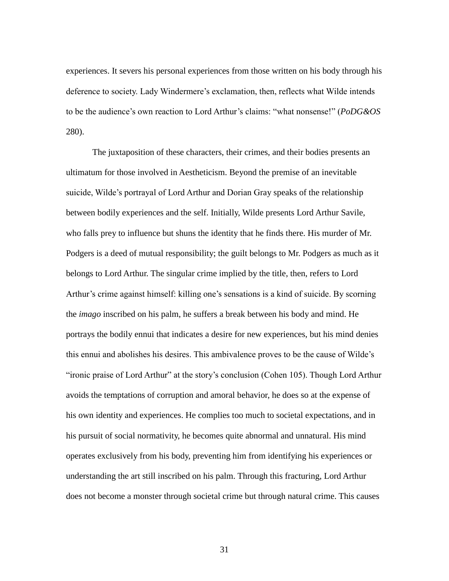experiences. It severs his personal experiences from those written on his body through his deference to society. Lady Windermere's exclamation, then, reflects what Wilde intends to be the audience's own reaction to Lord Arthur's claims: "what nonsense!" (*PoDG&OS* 280).

The juxtaposition of these characters, their crimes, and their bodies presents an ultimatum for those involved in Aestheticism. Beyond the premise of an inevitable suicide, Wilde's portrayal of Lord Arthur and Dorian Gray speaks of the relationship between bodily experiences and the self. Initially, Wilde presents Lord Arthur Savile, who falls prey to influence but shuns the identity that he finds there. His murder of Mr. Podgers is a deed of mutual responsibility; the guilt belongs to Mr. Podgers as much as it belongs to Lord Arthur. The singular crime implied by the title, then, refers to Lord Arthur's crime against himself: killing one's sensations is a kind of suicide. By scorning the *imago* inscribed on his palm, he suffers a break between his body and mind. He portrays the bodily ennui that indicates a desire for new experiences, but his mind denies this ennui and abolishes his desires. This ambivalence proves to be the cause of Wilde's "ironic praise of Lord Arthur" at the story's conclusion (Cohen 105). Though Lord Arthur avoids the temptations of corruption and amoral behavior, he does so at the expense of his own identity and experiences. He complies too much to societal expectations, and in his pursuit of social normativity, he becomes quite abnormal and unnatural. His mind operates exclusively from his body, preventing him from identifying his experiences or understanding the art still inscribed on his palm. Through this fracturing, Lord Arthur does not become a monster through societal crime but through natural crime. This causes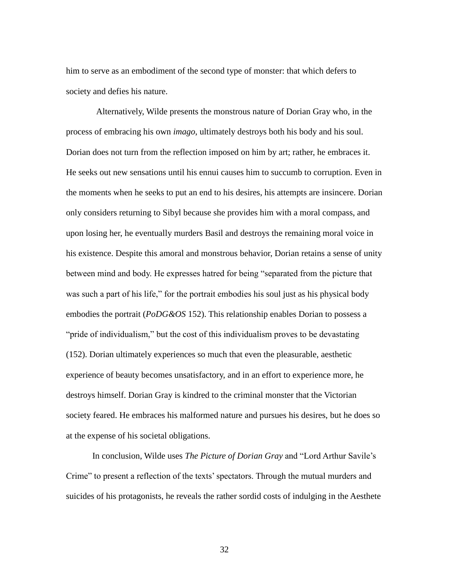him to serve as an embodiment of the second type of monster: that which defers to society and defies his nature.

 Alternatively, Wilde presents the monstrous nature of Dorian Gray who, in the process of embracing his own *imago*, ultimately destroys both his body and his soul. Dorian does not turn from the reflection imposed on him by art; rather, he embraces it. He seeks out new sensations until his ennui causes him to succumb to corruption. Even in the moments when he seeks to put an end to his desires, his attempts are insincere. Dorian only considers returning to Sibyl because she provides him with a moral compass, and upon losing her, he eventually murders Basil and destroys the remaining moral voice in his existence. Despite this amoral and monstrous behavior, Dorian retains a sense of unity between mind and body. He expresses hatred for being "separated from the picture that was such a part of his life," for the portrait embodies his soul just as his physical body embodies the portrait (*PoDG&OS* 152). This relationship enables Dorian to possess a "pride of individualism," but the cost of this individualism proves to be devastating (152). Dorian ultimately experiences so much that even the pleasurable, aesthetic experience of beauty becomes unsatisfactory, and in an effort to experience more, he destroys himself. Dorian Gray is kindred to the criminal monster that the Victorian society feared. He embraces his malformed nature and pursues his desires, but he does so at the expense of his societal obligations.

In conclusion, Wilde uses *The Picture of Dorian Gray* and "Lord Arthur Savile's Crime" to present a reflection of the texts' spectators. Through the mutual murders and suicides of his protagonists, he reveals the rather sordid costs of indulging in the Aesthete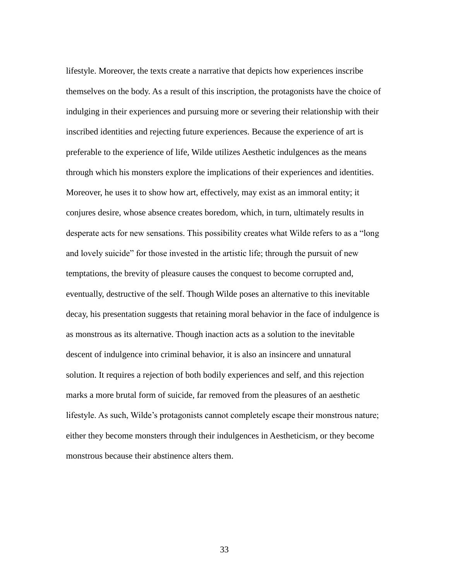lifestyle. Moreover, the texts create a narrative that depicts how experiences inscribe themselves on the body. As a result of this inscription, the protagonists have the choice of indulging in their experiences and pursuing more or severing their relationship with their inscribed identities and rejecting future experiences. Because the experience of art is preferable to the experience of life, Wilde utilizes Aesthetic indulgences as the means through which his monsters explore the implications of their experiences and identities. Moreover, he uses it to show how art, effectively, may exist as an immoral entity; it conjures desire, whose absence creates boredom, which, in turn, ultimately results in desperate acts for new sensations. This possibility creates what Wilde refers to as a "long and lovely suicide" for those invested in the artistic life; through the pursuit of new temptations, the brevity of pleasure causes the conquest to become corrupted and, eventually, destructive of the self. Though Wilde poses an alternative to this inevitable decay, his presentation suggests that retaining moral behavior in the face of indulgence is as monstrous as its alternative. Though inaction acts as a solution to the inevitable descent of indulgence into criminal behavior, it is also an insincere and unnatural solution. It requires a rejection of both bodily experiences and self, and this rejection marks a more brutal form of suicide, far removed from the pleasures of an aesthetic lifestyle. As such, Wilde's protagonists cannot completely escape their monstrous nature; either they become monsters through their indulgences in Aestheticism, or they become monstrous because their abstinence alters them.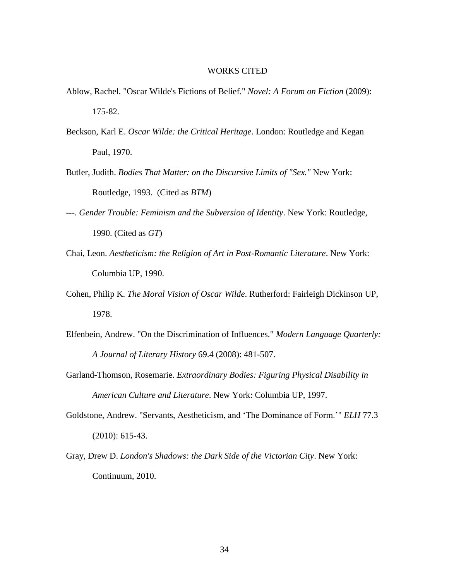#### WORKS CITED

- Ablow, Rachel. "Oscar Wilde's Fictions of Belief." *Novel: A Forum on Fiction* (2009): 175-82.
- Beckson, Karl E. *Oscar Wilde: the Critical Heritage*. London: Routledge and Kegan Paul, 1970.
- Butler, Judith. *Bodies That Matter: on the Discursive Limits of "Sex."* New York: Routledge, 1993. (Cited as *BTM*)
- ---. *Gender Trouble: Feminism and the Subversion of Identity*. New York: Routledge, 1990. (Cited as *GT*)
- Chai, Leon. *Aestheticism: the Religion of Art in Post-Romantic Literature*. New York: Columbia UP, 1990.
- Cohen, Philip K. *The Moral Vision of Oscar Wilde*. Rutherford: Fairleigh Dickinson UP, 1978.
- Elfenbein, Andrew. "On the Discrimination of Influences." *Modern Language Quarterly: A Journal of Literary History* 69.4 (2008): 481-507.
- Garland-Thomson, Rosemarie. *Extraordinary Bodies: Figuring Physical Disability in American Culture and Literature*. New York: Columbia UP, 1997.
- Goldstone, Andrew. "Servants, Aestheticism, and 'The Dominance of Form.'" *ELH* 77.3 (2010): 615-43.
- Gray, Drew D. *London's Shadows: the Dark Side of the Victorian City*. New York: Continuum, 2010.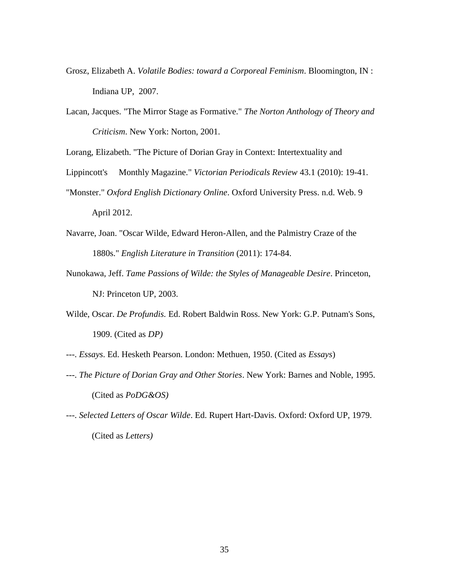- Grosz, Elizabeth A. *Volatile Bodies: toward a Corporeal Feminism*. Bloomington, IN : Indiana UP, 2007.
- Lacan, Jacques. "The Mirror Stage as Formative." *The Norton Anthology of Theory and Criticism*. New York: Norton, 2001.

Lorang, Elizabeth. "The Picture of Dorian Gray in Context: Intertextuality and

- Lippincott's Monthly Magazine." *Victorian Periodicals Review* 43.1 (2010): 19-41.
- "Monster." *Oxford English Dictionary Online*. Oxford University Press. n.d. Web. 9 April 2012.
- Navarre, Joan. "Oscar Wilde, Edward Heron-Allen, and the Palmistry Craze of the 1880s." *English Literature in Transition* (2011): 174-84.
- Nunokawa, Jeff. *Tame Passions of Wilde: the Styles of Manageable Desire*. Princeton, NJ: Princeton UP, 2003.
- Wilde, Oscar. *De Profundis.* Ed. Robert Baldwin Ross. New York: G.P. Putnam's Sons, 1909. (Cited as *DP)*
- ---. *Essays*. Ed. Hesketh Pearson. London: Methuen, 1950. (Cited as *Essays*)
- ---. *The Picture of Dorian Gray and Other Stories*. New York: Barnes and Noble, 1995. (Cited as *PoDG&OS)*
- ---. *Selected Letters of Oscar Wilde*. Ed. Rupert Hart-Davis. Oxford: Oxford UP, 1979. (Cited as *Letters)*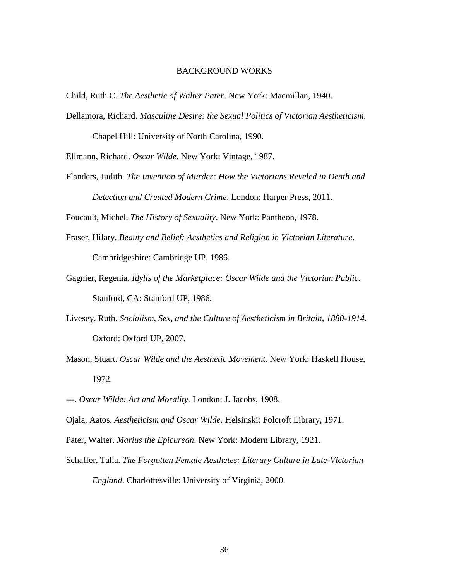#### BACKGROUND WORKS

Child, Ruth C. *The Aesthetic of Walter Pater*. New York: Macmillan, 1940.

Dellamora, Richard. *Masculine Desire: the Sexual Politics of Victorian Aestheticism*.

Chapel Hill: University of North Carolina, 1990.

Ellmann, Richard. *Oscar Wilde*. New York: Vintage, 1987.

Flanders, Judith. *The Invention of Murder: How the Victorians Reveled in Death and Detection and Created Modern Crime*. London: Harper Press, 2011.

Foucault, Michel. *The History of Sexuality*. New York: Pantheon, 1978.

- Fraser, Hilary. *Beauty and Belief: Aesthetics and Religion in Victorian Literature*. Cambridgeshire: Cambridge UP, 1986.
- Gagnier, Regenia. *Idylls of the Marketplace: Oscar Wilde and the Victorian Public*. Stanford, CA: Stanford UP, 1986.
- Livesey, Ruth. *Socialism, Sex, and the Culture of Aestheticism in Britain, 1880-1914*. Oxford: Oxford UP, 2007.
- Mason, Stuart. *Oscar Wilde and the Aesthetic Movement.* New York: Haskell House, 1972.

---. *Oscar Wilde: Art and Morality.* London: J. Jacobs, 1908.

Ojala, Aatos. *Aestheticism and Oscar Wilde*. Helsinski: Folcroft Library, 1971.

Pater, Walter. *Marius the Epicurean*. New York: Modern Library, 1921.

Schaffer, Talia. *The Forgotten Female Aesthetes: Literary Culture in Late-Victorian England*. Charlottesville: University of Virginia, 2000.